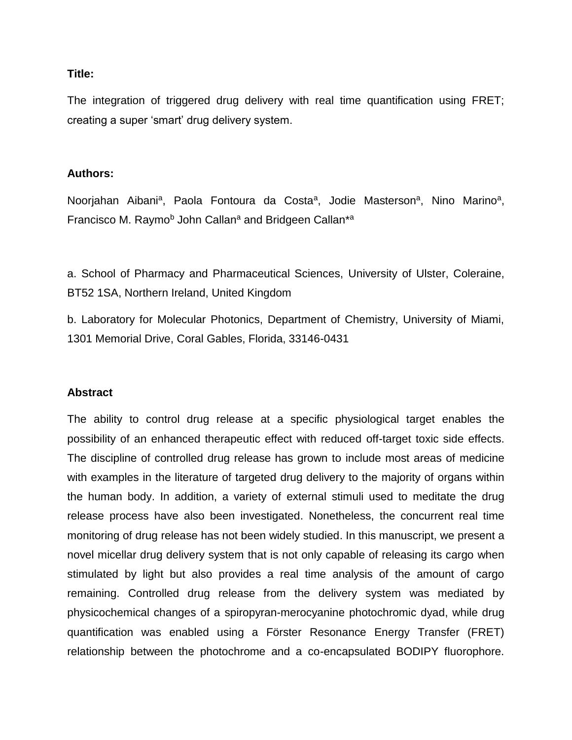#### **Title:**

The integration of triggered drug delivery with real time quantification using FRET; creating a super 'smart' drug delivery system.

#### **Authors:**

Noorjahan Aibani<sup>a</sup>, Paola Fontoura da Costa<sup>a</sup>, Jodie Masterson<sup>a</sup>, Nino Marino<sup>a</sup>, Francisco M. Raymo<sup>b</sup> John Callan<sup>a</sup> and Bridgeen Callan<sup>\*a</sup>

a. School of Pharmacy and Pharmaceutical Sciences, University of Ulster, Coleraine, BT52 1SA, Northern Ireland, United Kingdom

b. Laboratory for Molecular Photonics, Department of Chemistry, University of Miami, 1301 Memorial Drive, Coral Gables, Florida, 33146-0431

#### **Abstract**

The ability to control drug release at a specific physiological target enables the possibility of an enhanced therapeutic effect with reduced off-target toxic side effects. The discipline of controlled drug release has grown to include most areas of medicine with examples in the literature of targeted drug delivery to the majority of organs within the human body. In addition, a variety of external stimuli used to meditate the drug release process have also been investigated. Nonetheless, the concurrent real time monitoring of drug release has not been widely studied. In this manuscript, we present a novel micellar drug delivery system that is not only capable of releasing its cargo when stimulated by light but also provides a real time analysis of the amount of cargo remaining. Controlled drug release from the delivery system was mediated by physicochemical changes of a spiropyran-merocyanine photochromic dyad, while drug quantification was enabled using a Förster Resonance Energy Transfer (FRET) relationship between the photochrome and a co-encapsulated BODIPY fluorophore.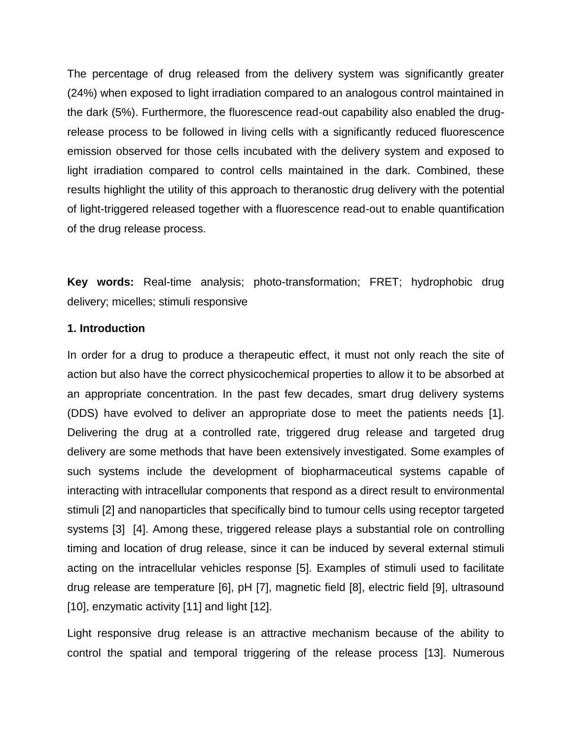The percentage of drug released from the delivery system was significantly greater (24%) when exposed to light irradiation compared to an analogous control maintained in the dark (5%). Furthermore, the fluorescence read-out capability also enabled the drugrelease process to be followed in living cells with a significantly reduced fluorescence emission observed for those cells incubated with the delivery system and exposed to light irradiation compared to control cells maintained in the dark. Combined, these results highlight the utility of this approach to theranostic drug delivery with the potential of light-triggered released together with a fluorescence read-out to enable quantification of the drug release process.

**Key words:** Real-time analysis; photo-transformation; FRET; hydrophobic drug delivery; micelles; stimuli responsive

#### **1. Introduction**

In order for a drug to produce a therapeutic effect, it must not only reach the site of action but also have the correct physicochemical properties to allow it to be absorbed at an appropriate concentration. In the past few decades, smart drug delivery systems (DDS) have evolved to deliver an appropriate dose to meet the patients needs [1]. Delivering the drug at a controlled rate, triggered drug release and targeted drug delivery are some methods that have been extensively investigated. Some examples of such systems include the development of biopharmaceutical systems capable of interacting with intracellular components that respond as a direct result to environmental stimuli [2] and nanoparticles that specifically bind to tumour cells using receptor targeted systems [3] [4]. Among these, triggered release plays a substantial role on controlling timing and location of drug release, since it can be induced by several external stimuli acting on the intracellular vehicles response [5]. Examples of stimuli used to facilitate drug release are temperature [6], pH [7], magnetic field [8], electric field [9], ultrasound [10], enzymatic activity [11] and light [12].

Light responsive drug release is an attractive mechanism because of the ability to control the spatial and temporal triggering of the release process [13]. Numerous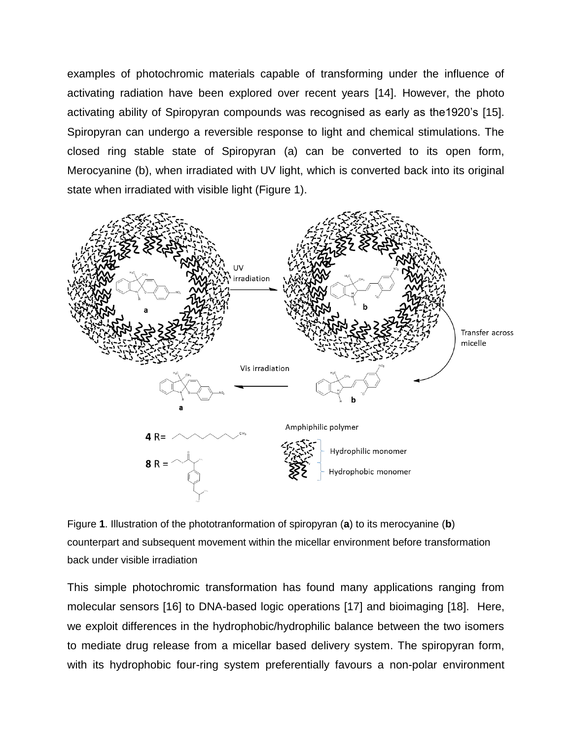examples of photochromic materials capable of transforming under the influence of activating radiation have been explored over recent years [14]. However, the photo activating ability of Spiropyran compounds was recognised as early as the1920's [15]. Spiropyran can undergo a reversible response to light and chemical stimulations. The closed ring stable state of Spiropyran (a) can be converted to its open form, Merocyanine (b), when irradiated with UV light, which is converted back into its original state when irradiated with visible light (Figure 1).



Figure **1**. Illustration of the phototranformation of spiropyran (**a**) to its merocyanine (**b**) counterpart and subsequent movement within the micellar environment before transformation back under visible irradiation

This simple photochromic transformation has found many applications ranging from molecular sensors [16] to DNA-based logic operations [17] and bioimaging [18]. Here, we exploit differences in the hydrophobic/hydrophilic balance between the two isomers to mediate drug release from a micellar based delivery system. The spiropyran form, with its hydrophobic four-ring system preferentially favours a non-polar environment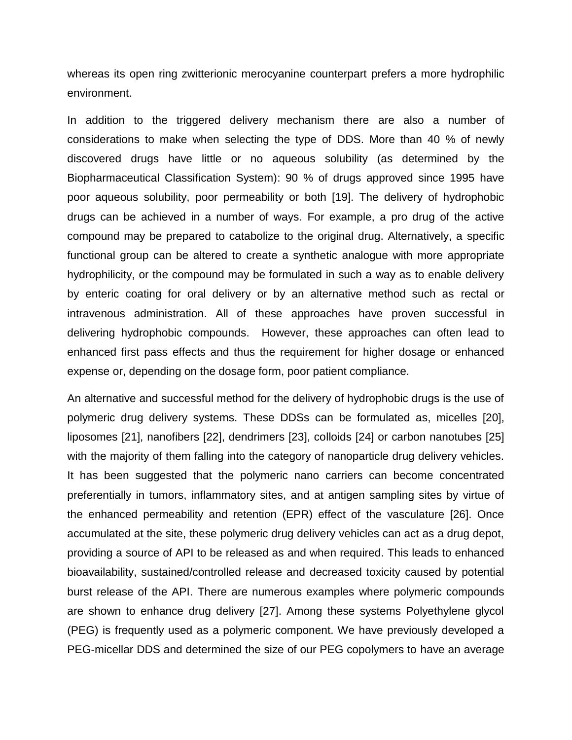whereas its open ring zwitterionic merocyanine counterpart prefers a more hydrophilic environment.

In addition to the triggered delivery mechanism there are also a number of considerations to make when selecting the type of DDS. More than 40 % of newly discovered drugs have little or no aqueous solubility (as determined by the Biopharmaceutical Classification System): 90 % of drugs approved since 1995 have poor aqueous solubility, poor permeability or both [19]. The delivery of hydrophobic drugs can be achieved in a number of ways. For example, a pro drug of the active compound may be prepared to catabolize to the original drug. Alternatively, a specific functional group can be altered to create a synthetic analogue with more appropriate hydrophilicity, or the compound may be formulated in such a way as to enable delivery by enteric coating for oral delivery or by an alternative method such as rectal or intravenous administration. All of these approaches have proven successful in delivering hydrophobic compounds. However, these approaches can often lead to enhanced first pass effects and thus the requirement for higher dosage or enhanced expense or, depending on the dosage form, poor patient compliance.

An alternative and successful method for the delivery of hydrophobic drugs is the use of polymeric drug delivery systems. These DDSs can be formulated as, micelles [20], liposomes [21], nanofibers [22], dendrimers [23], colloids [24] or carbon nanotubes [25] with the majority of them falling into the category of nanoparticle drug delivery vehicles. It has been suggested that the polymeric nano carriers can become concentrated preferentially in tumors, inflammatory sites, and at antigen sampling sites by virtue of the enhanced permeability and retention (EPR) effect of the vasculature [26]. Once accumulated at the site, these polymeric drug delivery vehicles can act as a drug depot, providing a source of API to be released as and when required. This leads to enhanced bioavailability, sustained/controlled release and decreased toxicity caused by potential burst release of the API. There are numerous examples where polymeric compounds are shown to enhance drug delivery [27]. Among these systems Polyethylene glycol (PEG) is frequently used as a polymeric component. We have previously developed a PEG-micellar DDS and determined the size of our PEG copolymers to have an average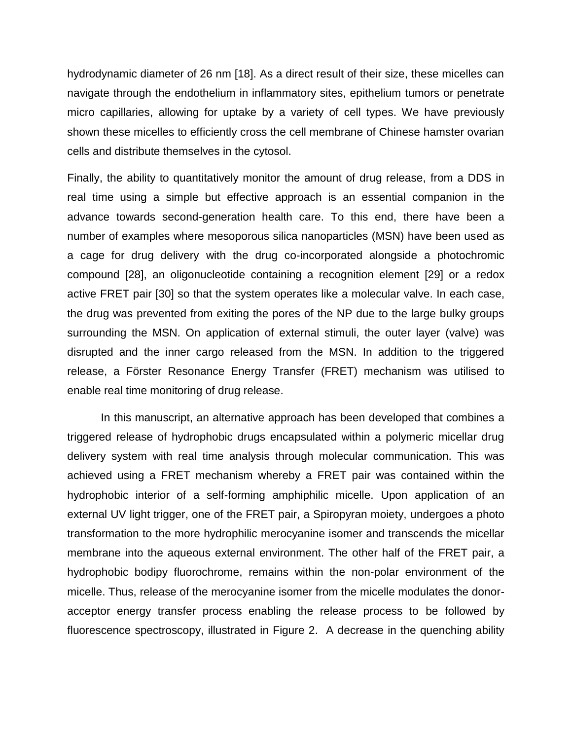hydrodynamic diameter of 26 nm [18]. As a direct result of their size, these micelles can navigate through the endothelium in inflammatory sites, epithelium tumors or penetrate micro capillaries, allowing for uptake by a variety of cell types. We have previously shown these micelles to efficiently cross the cell membrane of Chinese hamster ovarian cells and distribute themselves in the cytosol.

Finally, the ability to quantitatively monitor the amount of drug release, from a DDS in real time using a simple but effective approach is an essential companion in the advance towards second-generation health care. To this end, there have been a number of examples where mesoporous silica nanoparticles (MSN) have been used as a cage for drug delivery with the drug co-incorporated alongside a photochromic compound [28], an oligonucleotide containing a recognition element [29] or a redox active FRET pair [30] so that the system operates like a molecular valve. In each case, the drug was prevented from exiting the pores of the NP due to the large bulky groups surrounding the MSN. On application of external stimuli, the outer layer (valve) was disrupted and the inner cargo released from the MSN. In addition to the triggered release, a Förster Resonance Energy Transfer (FRET) mechanism was utilised to enable real time monitoring of drug release.

In this manuscript, an alternative approach has been developed that combines a triggered release of hydrophobic drugs encapsulated within a polymeric micellar drug delivery system with real time analysis through molecular communication. This was achieved using a FRET mechanism whereby a FRET pair was contained within the hydrophobic interior of a self-forming amphiphilic micelle. Upon application of an external UV light trigger, one of the FRET pair, a Spiropyran moiety, undergoes a photo transformation to the more hydrophilic merocyanine isomer and transcends the micellar membrane into the aqueous external environment. The other half of the FRET pair, a hydrophobic bodipy fluorochrome, remains within the non-polar environment of the micelle. Thus, release of the merocyanine isomer from the micelle modulates the donoracceptor energy transfer process enabling the release process to be followed by fluorescence spectroscopy, illustrated in Figure 2. A decrease in the quenching ability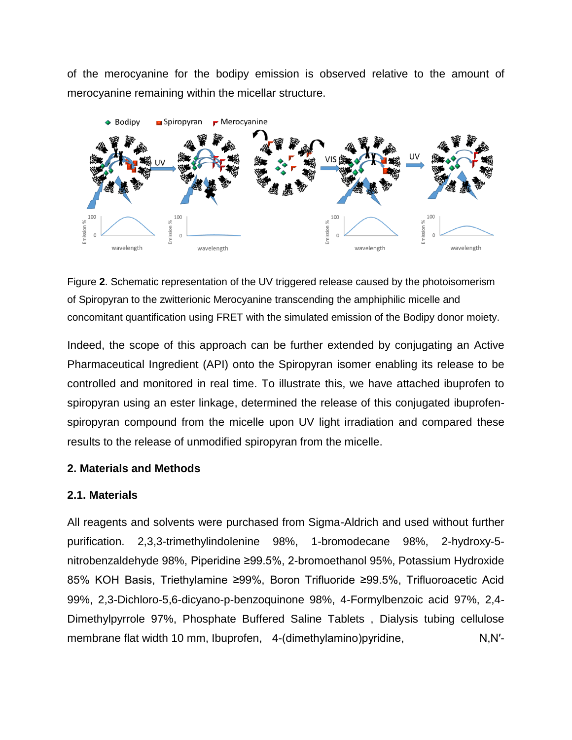of the merocyanine for the bodipy emission is observed relative to the amount of merocyanine remaining within the micellar structure.



Figure **2**. Schematic representation of the UV triggered release caused by the photoisomerism of Spiropyran to the zwitterionic Merocyanine transcending the amphiphilic micelle and concomitant quantification using FRET with the simulated emission of the Bodipy donor moiety.

Indeed, the scope of this approach can be further extended by conjugating an Active Pharmaceutical Ingredient (API) onto the Spiropyran isomer enabling its release to be controlled and monitored in real time. To illustrate this, we have attached ibuprofen to spiropyran using an ester linkage, determined the release of this conjugated ibuprofenspiropyran compound from the micelle upon UV light irradiation and compared these results to the release of unmodified spiropyran from the micelle.

# **2. Materials and Methods**

# **2.1. Materials**

All reagents and solvents were purchased from Sigma-Aldrich and used without further purification. 2,3,3-trimethylindolenine 98%, 1-bromodecane 98%, 2-hydroxy-5 nitrobenzaldehyde 98%, Piperidine ≥99.5%, 2-bromoethanol 95%, Potassium Hydroxide 85% KOH Basis, Triethylamine ≥99%, Boron Trifluoride ≥99.5%, Trifluoroacetic Acid 99%, 2,3-Dichloro-5,6-dicyano-p-benzoquinone 98%, 4-Formylbenzoic acid 97%, 2,4- Dimethylpyrrole 97%, Phosphate Buffered Saline Tablets , Dialysis tubing cellulose membrane flat width 10 mm, Ibuprofen, 4-(dimethylamino)pyridine, N,N'-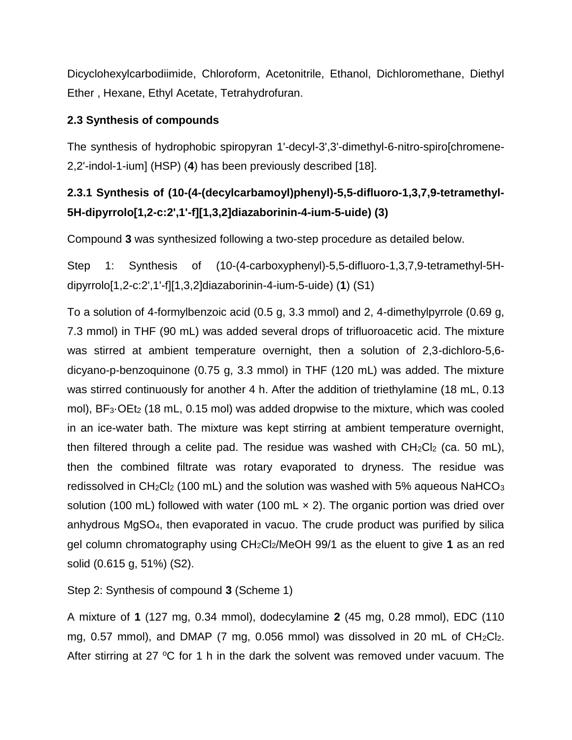Dicyclohexylcarbodiimide, Chloroform, Acetonitrile, Ethanol, Dichloromethane, Diethyl Ether , Hexane, Ethyl Acetate, Tetrahydrofuran.

# **2.3 Synthesis of compounds**

The synthesis of hydrophobic spiropyran 1'-decyl-3',3'-dimethyl-6-nitro-spiro[chromene-2,2'-indol-1-ium] (HSP) (**4**) has been previously described [18].

# **2.3.1 Synthesis of (10-(4-(decylcarbamoyl)phenyl)-5,5-difluoro-1,3,7,9-tetramethyl-5H-dipyrrolo[1,2-c:2',1'-f][1,3,2]diazaborinin-4-ium-5-uide) (3)**

Compound **3** was synthesized following a two-step procedure as detailed below.

Step 1: Synthesis of (10-(4-carboxyphenyl)-5,5-difluoro-1,3,7,9-tetramethyl-5Hdipyrrolo[1,2-c:2',1'-f][1,3,2]diazaborinin-4-ium-5-uide) (**1**) (S1)

To a solution of 4-formylbenzoic acid (0.5 g, 3.3 mmol) and 2, 4-dimethylpyrrole (0.69 g, 7.3 mmol) in THF (90 mL) was added several drops of trifluoroacetic acid. The mixture was stirred at ambient temperature overnight, then a solution of 2,3-dichloro-5,6 dicyano-p-benzoquinone (0.75 g, 3.3 mmol) in THF (120 mL) was added. The mixture was stirred continuously for another 4 h. After the addition of triethylamine (18 mL, 0.13 mol), BF3·OEt<sup>2</sup> (18 mL, 0.15 mol) was added dropwise to the mixture, which was cooled in an ice-water bath. The mixture was kept stirring at ambient temperature overnight, then filtered through a celite pad. The residue was washed with  $CH_2Cl_2$  (ca. 50 mL), then the combined filtrate was rotary evaporated to dryness. The residue was redissolved in  $CH_2Cl_2$  (100 mL) and the solution was washed with 5% aqueous NaHCO<sub>3</sub> solution (100 mL) followed with water (100 mL  $\times$  2). The organic portion was dried over anhydrous MgSO4, then evaporated in vacuo. The crude product was purified by silica gel column chromatography using CH2Cl2/MeOH 99/1 as the eluent to give **1** as an red solid (0.615 g, 51%) (S2).

Step 2: Synthesis of compound **3** (Scheme 1)

A mixture of **1** (127 mg, 0.34 mmol), dodecylamine **2** (45 mg, 0.28 mmol), EDC (110 mg, 0.57 mmol), and DMAP (7 mg, 0.056 mmol) was dissolved in 20 mL of  $CH_2Cl_2$ . After stirring at 27  $\degree$ C for 1 h in the dark the solvent was removed under vacuum. The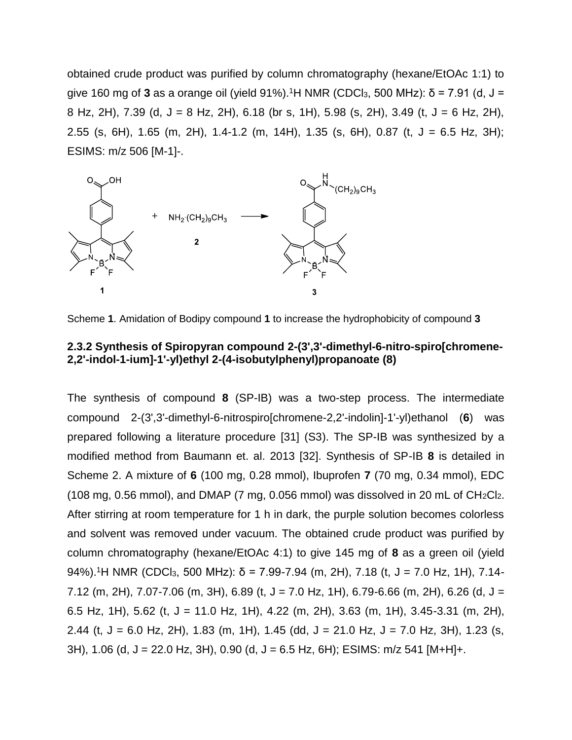obtained crude product was purified by column chromatography (hexane/EtOAc 1:1) to give 160 mg of 3 as a orange oil (yield 91%).<sup>1</sup>H NMR (CDCl<sub>3</sub>, 500 MHz): δ = 7.91 (d, J = 8 Hz, 2H), 7.39 (d, J = 8 Hz, 2H), 6.18 (br s, 1H), 5.98 (s, 2H), 3.49 (t, J = 6 Hz, 2H), 2.55 (s, 6H), 1.65 (m, 2H), 1.4-1.2 (m, 14H), 1.35 (s, 6H), 0.87 (t, J = 6.5 Hz, 3H); ESIMS: m/z 506 [M-1]-.



Scheme **1**. Amidation of Bodipy compound **1** to increase the hydrophobicity of compound **3**

#### **2.3.2 Synthesis of Spiropyran compound 2-(3',3'-dimethyl-6-nitro-spiro[chromene-2,2'-indol-1-ium]-1'-yl)ethyl 2-(4-isobutylphenyl)propanoate (8)**

The synthesis of compound **8** (SP-IB) was a two-step process. The intermediate compound 2-(3',3'-dimethyl-6-nitrospiro[chromene-2,2'-indolin]-1'-yl)ethanol (**6**) was prepared following a literature procedure [31] (S3). The SP-IB was synthesized by a modified method from Baumann et. al. 2013 [32]. Synthesis of SP-IB **8** is detailed in Scheme 2. A mixture of **6** (100 mg, 0.28 mmol), Ibuprofen **7** (70 mg, 0.34 mmol), EDC (108 mg, 0.56 mmol), and DMAP (7 mg, 0.056 mmol) was dissolved in 20 mL of  $CH_2Cl_2$ . After stirring at room temperature for 1 h in dark, the purple solution becomes colorless and solvent was removed under vacuum. The obtained crude product was purified by column chromatography (hexane/EtOAc 4:1) to give 145 mg of **8** as a green oil (yield 94%).<sup>1</sup>H NMR (CDCl<sub>3</sub>, 500 MHz): δ = 7.99-7.94 (m, 2H), 7.18 (t, J = 7.0 Hz, 1H), 7.14-7.12 (m, 2H), 7.07-7.06 (m, 3H), 6.89 (t, J = 7.0 Hz, 1H), 6.79-6.66 (m, 2H), 6.26 (d, J = 6.5 Hz, 1H), 5.62 (t, J = 11.0 Hz, 1H), 4.22 (m, 2H), 3.63 (m, 1H), 3.45-3.31 (m, 2H), 2.44 (t,  $J = 6.0$  Hz, 2H), 1.83 (m, 1H), 1.45 (dd,  $J = 21.0$  Hz,  $J = 7.0$  Hz, 3H), 1.23 (s, 3H), 1.06 (d, J = 22.0 Hz, 3H), 0.90 (d, J = 6.5 Hz, 6H); ESIMS: m/z 541 [M+H]+.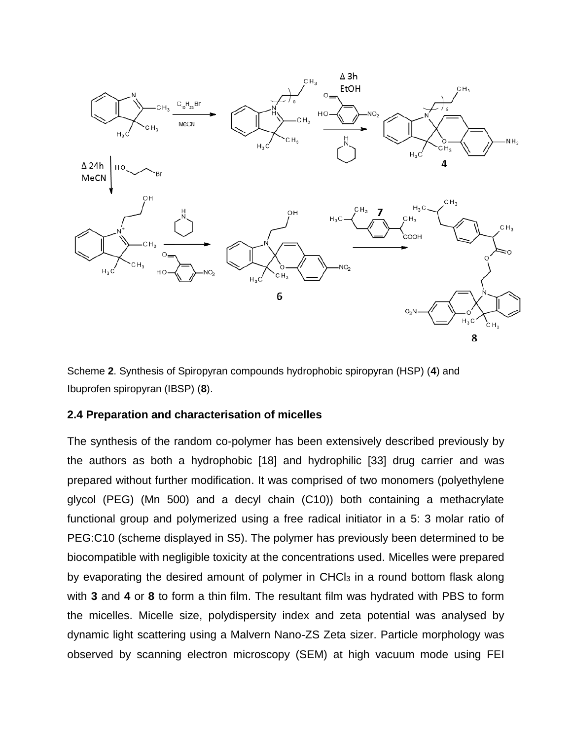

Scheme **2**. Synthesis of Spiropyran compounds hydrophobic spiropyran (HSP) (**4**) and Ibuprofen spiropyran (IBSP) (**8**).

#### **2.4 Preparation and characterisation of micelles**

The synthesis of the random co-polymer has been extensively described previously by the authors as both a hydrophobic [18] and hydrophilic [33] drug carrier and was prepared without further modification. It was comprised of two monomers (polyethylene glycol (PEG) (Mn 500) and a decyl chain (C10)) both containing a methacrylate functional group and polymerized using a free radical initiator in a 5: 3 molar ratio of PEG:C10 (scheme displayed in S5). The polymer has previously been determined to be biocompatible with negligible toxicity at the concentrations used. Micelles were prepared by evaporating the desired amount of polymer in CHCl<sub>3</sub> in a round bottom flask along with **3** and **4** or **8** to form a thin film. The resultant film was hydrated with PBS to form the micelles. Micelle size, polydispersity index and zeta potential was analysed by dynamic light scattering using a Malvern Nano-ZS Zeta sizer. Particle morphology was observed by scanning electron microscopy (SEM) at high vacuum mode using FEI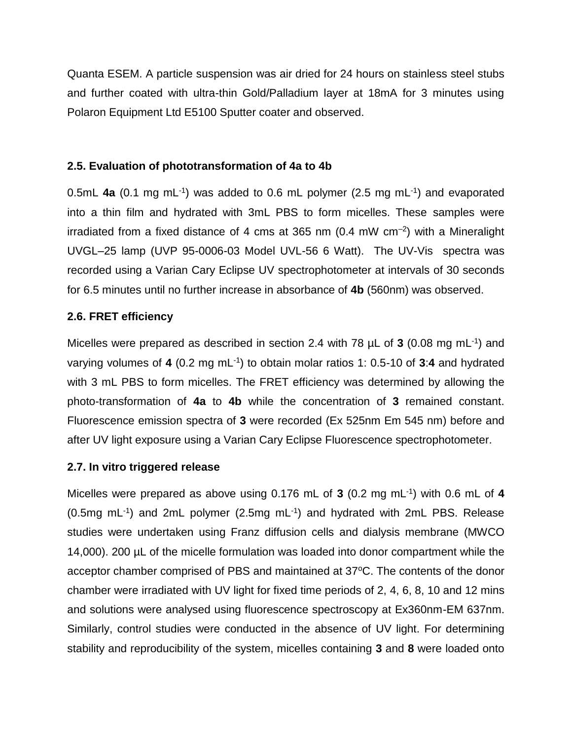Quanta ESEM. A particle suspension was air dried for 24 hours on stainless steel stubs and further coated with ultra-thin Gold/Palladium layer at 18mA for 3 minutes using Polaron Equipment Ltd E5100 Sputter coater and observed.

# **2.5. Evaluation of phototransformation of 4a to 4b**

0.5mL **4a** (0.1 mg mL $^{-1}$ ) was added to 0.6 mL polymer (2.5 mg mL $^{-1}$ ) and evaporated into a thin film and hydrated with 3mL PBS to form micelles. These samples were irradiated from a fixed distance of 4 cms at 365 nm (0.4 mW cm $^{-2}$ ) with a Mineralight UVGL–25 lamp (UVP 95-0006-03 Model UVL-56 6 Watt). The UV-Vis spectra was recorded using a Varian Cary Eclipse UV spectrophotometer at intervals of 30 seconds for 6.5 minutes until no further increase in absorbance of **4b** (560nm) was observed.

# **2.6. FRET efficiency**

Micelles were prepared as described in section 2.4 with 78  $\mu$ L of 3 (0.08 mg mL<sup>-1</sup>) and varying volumes of **4** (0.2 mg mL-1 ) to obtain molar ratios 1: 0.5-10 of **3**:**4** and hydrated with 3 mL PBS to form micelles. The FRET efficiency was determined by allowing the photo-transformation of **4a** to **4b** while the concentration of **3** remained constant. Fluorescence emission spectra of **3** were recorded (Ex 525nm Em 545 nm) before and after UV light exposure using a Varian Cary Eclipse Fluorescence spectrophotometer.

# **2.7. In vitro triggered release**

Micelles were prepared as above using 0.176 mL of **3** (0.2 mg mL-1 ) with 0.6 mL of **4**  $(0.5mg$  mL<sup>-1</sup>) and 2mL polymer  $(2.5mg$  mL<sup>-1</sup>) and hydrated with 2mL PBS. Release studies were undertaken using Franz diffusion cells and dialysis membrane (MWCO 14,000). 200 µL of the micelle formulation was loaded into donor compartment while the acceptor chamber comprised of PBS and maintained at 37°C. The contents of the donor chamber were irradiated with UV light for fixed time periods of 2, 4, 6, 8, 10 and 12 mins and solutions were analysed using fluorescence spectroscopy at Ex360nm-EM 637nm. Similarly, control studies were conducted in the absence of UV light. For determining stability and reproducibility of the system, micelles containing **3** and **8** were loaded onto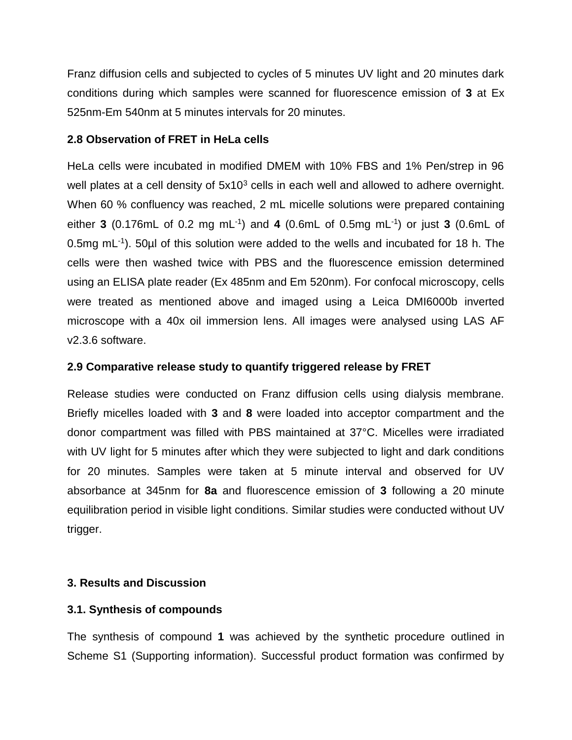Franz diffusion cells and subjected to cycles of 5 minutes UV light and 20 minutes dark conditions during which samples were scanned for fluorescence emission of **3** at Ex 525nm-Em 540nm at 5 minutes intervals for 20 minutes.

# **2.8 Observation of FRET in HeLa cells**

HeLa cells were incubated in modified DMEM with 10% FBS and 1% Pen/strep in 96 well plates at a cell density of 5x10<sup>3</sup> cells in each well and allowed to adhere overnight. When 60 % confluency was reached, 2 mL micelle solutions were prepared containing either **3** (0.176mL of 0.2 mg mL-1 ) and **4** (0.6mL of 0.5mg mL-1 ) or just **3** (0.6mL of 0.5mg mL<sup>-1</sup>). 50µl of this solution were added to the wells and incubated for 18 h. The cells were then washed twice with PBS and the fluorescence emission determined using an ELISA plate reader (Ex 485nm and Em 520nm). For confocal microscopy, cells were treated as mentioned above and imaged using a Leica DMI6000b inverted microscope with a 40x oil immersion lens. All images were analysed using LAS AF v2.3.6 software.

# **2.9 Comparative release study to quantify triggered release by FRET**

Release studies were conducted on Franz diffusion cells using dialysis membrane. Briefly micelles loaded with **3** and **8** were loaded into acceptor compartment and the donor compartment was filled with PBS maintained at 37°C. Micelles were irradiated with UV light for 5 minutes after which they were subjected to light and dark conditions for 20 minutes. Samples were taken at 5 minute interval and observed for UV absorbance at 345nm for **8a** and fluorescence emission of **3** following a 20 minute equilibration period in visible light conditions. Similar studies were conducted without UV trigger.

# **3. Results and Discussion**

# **3.1. Synthesis of compounds**

The synthesis of compound **1** was achieved by the synthetic procedure outlined in Scheme S1 (Supporting information). Successful product formation was confirmed by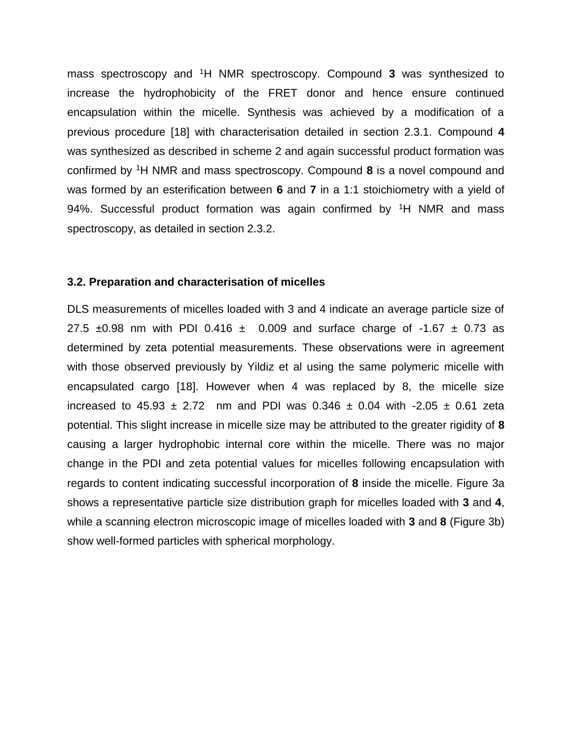mass spectroscopy and <sup>1</sup>H NMR spectroscopy. Compound **3** was synthesized to increase the hydrophobicity of the FRET donor and hence ensure continued encapsulation within the micelle. Synthesis was achieved by a modification of a previous procedure [18] with characterisation detailed in section 2.3.1. Compound **4** was synthesized as described in scheme 2 and again successful product formation was confirmed by <sup>1</sup>H NMR and mass spectroscopy. Compound **8** is a novel compound and was formed by an esterification between **6** and **7** in a 1:1 stoichiometry with a yield of 94%. Successful product formation was again confirmed by <sup>1</sup>H NMR and mass spectroscopy, as detailed in section 2.3.2.

#### **3.2. Preparation and characterisation of micelles**

DLS measurements of micelles loaded with 3 and 4 indicate an average particle size of 27.5  $\pm 0.98$  nm with PDI 0.416  $\pm$  0.009 and surface charge of -1.67  $\pm$  0.73 as determined by zeta potential measurements. These observations were in agreement with those observed previously by Yildiz et al using the same polymeric micelle with encapsulated cargo [18]. However when 4 was replaced by 8, the micelle size increased to  $45.93 \pm 2.72$  nm and PDI was  $0.346 \pm 0.04$  with  $-2.05 \pm 0.61$  zeta potential. This slight increase in micelle size may be attributed to the greater rigidity of **8** causing a larger hydrophobic internal core within the micelle. There was no major change in the PDI and zeta potential values for micelles following encapsulation with regards to content indicating successful incorporation of **8** inside the micelle. Figure 3a shows a representative particle size distribution graph for micelles loaded with **3** and **4**, while a scanning electron microscopic image of micelles loaded with **3** and **8** (Figure 3b) show well-formed particles with spherical morphology.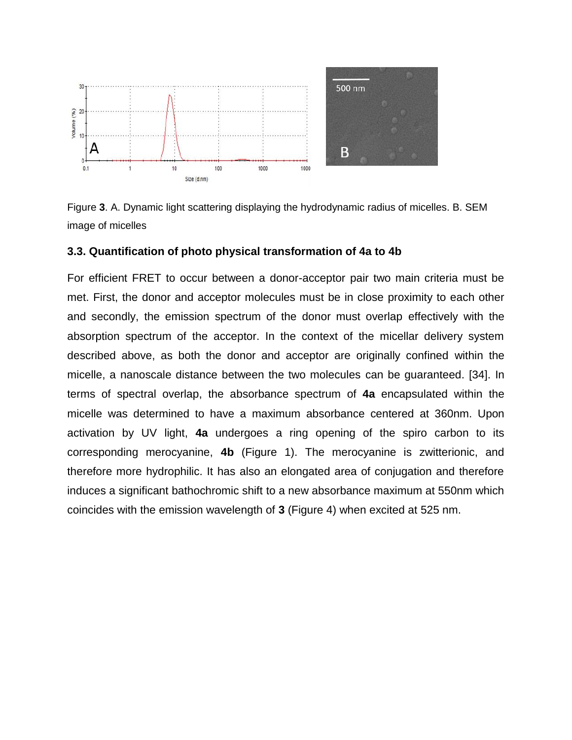



#### **3.3. Quantification of photo physical transformation of 4a to 4b**

For efficient FRET to occur between a donor-acceptor pair two main criteria must be met. First, the donor and acceptor molecules must be in close proximity to each other and secondly, the emission spectrum of the donor must overlap effectively with the absorption spectrum of the acceptor. In the context of the micellar delivery system described above, as both the donor and acceptor are originally confined within the micelle, a nanoscale distance between the two molecules can be guaranteed. [34]. In terms of spectral overlap, the absorbance spectrum of **4a** encapsulated within the micelle was determined to have a maximum absorbance centered at 360nm. Upon activation by UV light, **4a** undergoes a ring opening of the spiro carbon to its corresponding merocyanine, **4b** (Figure 1). The merocyanine is zwitterionic, and therefore more hydrophilic. It has also an elongated area of conjugation and therefore induces a significant bathochromic shift to a new absorbance maximum at 550nm which coincides with the emission wavelength of **3** (Figure 4) when excited at 525 nm.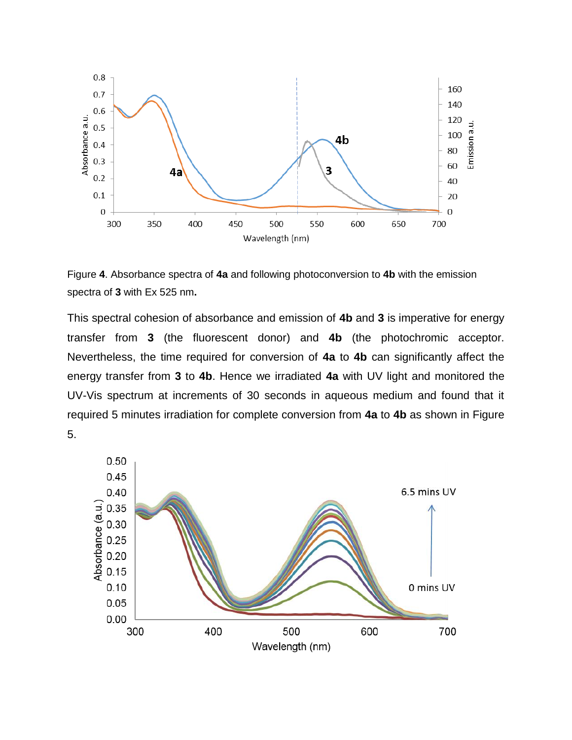

Figure **4**. Absorbance spectra of **4a** and following photoconversion to **4b** with the emission spectra of **3** with Ex 525 nm**.**

This spectral cohesion of absorbance and emission of **4b** and **3** is imperative for energy transfer from **3** (the fluorescent donor) and **4b** (the photochromic acceptor. Nevertheless, the time required for conversion of **4a** to **4b** can significantly affect the energy transfer from **3** to **4b**. Hence we irradiated **4a** with UV light and monitored the UV-Vis spectrum at increments of 30 seconds in aqueous medium and found that it required 5 minutes irradiation for complete conversion from **4a** to **4b** as shown in Figure 5.

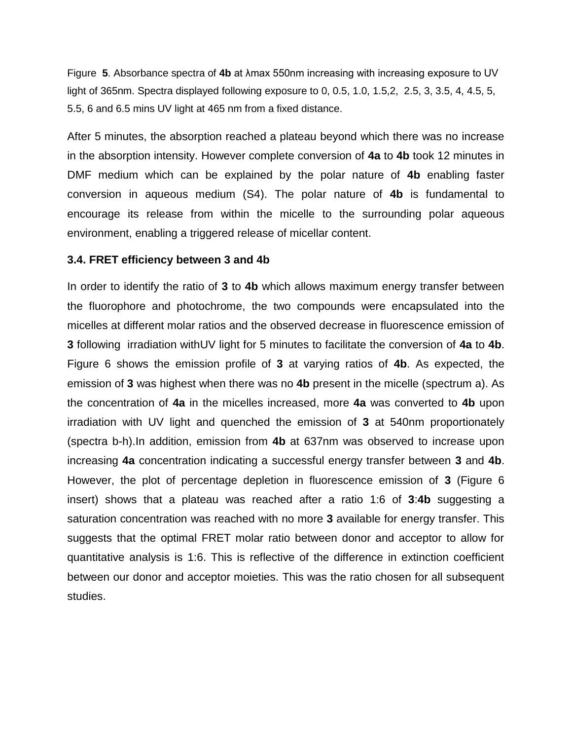Figure **5**. Absorbance spectra of **4b** at λmax 550nm increasing with increasing exposure to UV light of 365nm. Spectra displayed following exposure to 0, 0.5, 1.0, 1.5,2, 2.5, 3, 3.5, 4, 4.5, 5, 5.5, 6 and 6.5 mins UV light at 465 nm from a fixed distance.

After 5 minutes, the absorption reached a plateau beyond which there was no increase in the absorption intensity. However complete conversion of **4a** to **4b** took 12 minutes in DMF medium which can be explained by the polar nature of **4b** enabling faster conversion in aqueous medium (S4). The polar nature of **4b** is fundamental to encourage its release from within the micelle to the surrounding polar aqueous environment, enabling a triggered release of micellar content.

#### **3.4. FRET efficiency between 3 and 4b**

In order to identify the ratio of **3** to **4b** which allows maximum energy transfer between the fluorophore and photochrome, the two compounds were encapsulated into the micelles at different molar ratios and the observed decrease in fluorescence emission of **3** following irradiation withUV light for 5 minutes to facilitate the conversion of **4a** to **4b**. Figure 6 shows the emission profile of **3** at varying ratios of **4b**. As expected, the emission of **3** was highest when there was no **4b** present in the micelle (spectrum a). As the concentration of **4a** in the micelles increased, more **4a** was converted to **4b** upon irradiation with UV light and quenched the emission of **3** at 540nm proportionately (spectra b-h).In addition, emission from **4b** at 637nm was observed to increase upon increasing **4a** concentration indicating a successful energy transfer between **3** and **4b**. However, the plot of percentage depletion in fluorescence emission of **3** (Figure 6 insert) shows that a plateau was reached after a ratio 1:6 of **3**:**4b** suggesting a saturation concentration was reached with no more **3** available for energy transfer. This suggests that the optimal FRET molar ratio between donor and acceptor to allow for quantitative analysis is 1:6. This is reflective of the difference in extinction coefficient between our donor and acceptor moieties. This was the ratio chosen for all subsequent studies.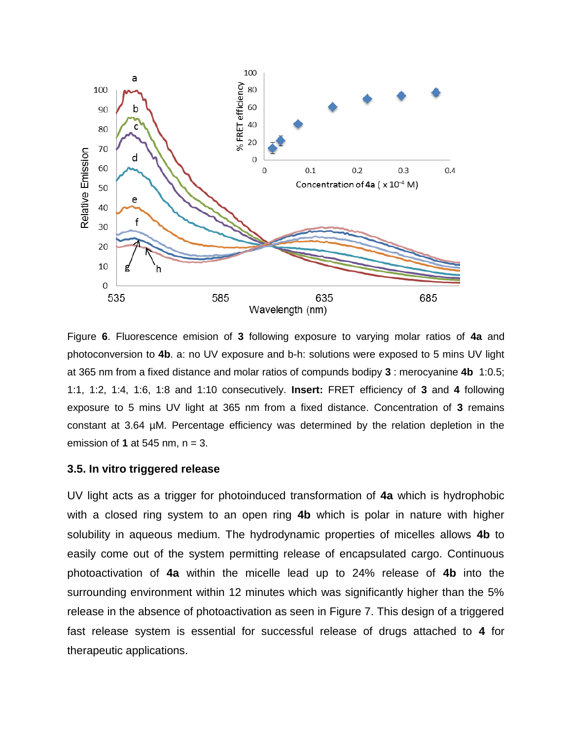

Figure **6**. Fluorescence emision of **3** following exposure to varying molar ratios of **4a** and photoconversion to **4b**. a: no UV exposure and b-h: solutions were exposed to 5 mins UV light at 365 nm from a fixed distance and molar ratios of compunds bodipy **3** : merocyanine **4b** 1:0.5; 1:1, 1:2, 1:4, 1:6, 1:8 and 1:10 consecutively. **Insert:** FRET efficiency of **3** and **4** following exposure to 5 mins UV light at 365 nm from a fixed distance. Concentration of **3** remains constant at 3.64 µM. Percentage efficiency was determined by the relation depletion in the emission of **1** at 545 nm, n = 3.

#### **3.5. In vitro triggered release**

UV light acts as a trigger for photoinduced transformation of **4a** which is hydrophobic with a closed ring system to an open ring **4b** which is polar in nature with higher solubility in aqueous medium. The hydrodynamic properties of micelles allows **4b** to easily come out of the system permitting release of encapsulated cargo. Continuous photoactivation of **4a** within the micelle lead up to 24% release of **4b** into the surrounding environment within 12 minutes which was significantly higher than the 5% release in the absence of photoactivation as seen in Figure 7. This design of a triggered fast release system is essential for successful release of drugs attached to **4** for therapeutic applications.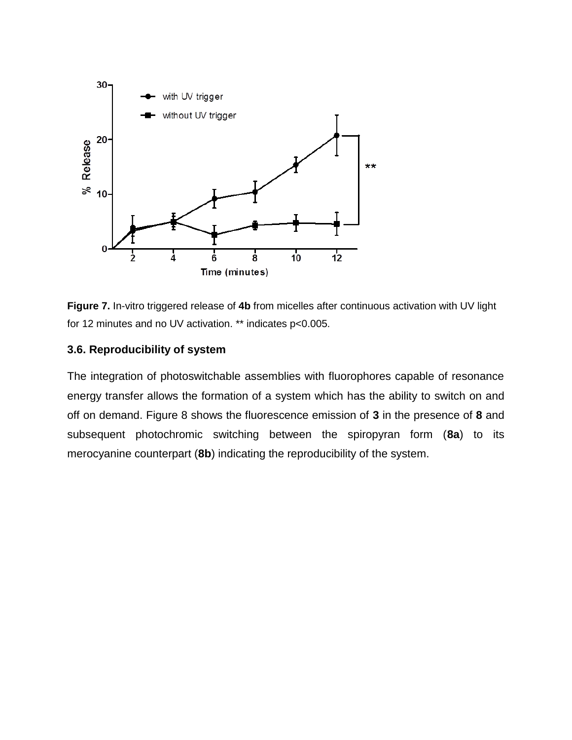

**Figure 7.** In-vitro triggered release of **4b** from micelles after continuous activation with UV light for 12 minutes and no UV activation. \*\* indicates p<0.005.

# **3.6. Reproducibility of system**

The integration of photoswitchable assemblies with fluorophores capable of resonance energy transfer allows the formation of a system which has the ability to switch on and off on demand. Figure 8 shows the fluorescence emission of **3** in the presence of **8** and subsequent photochromic switching between the spiropyran form (**8a**) to its merocyanine counterpart (**8b**) indicating the reproducibility of the system.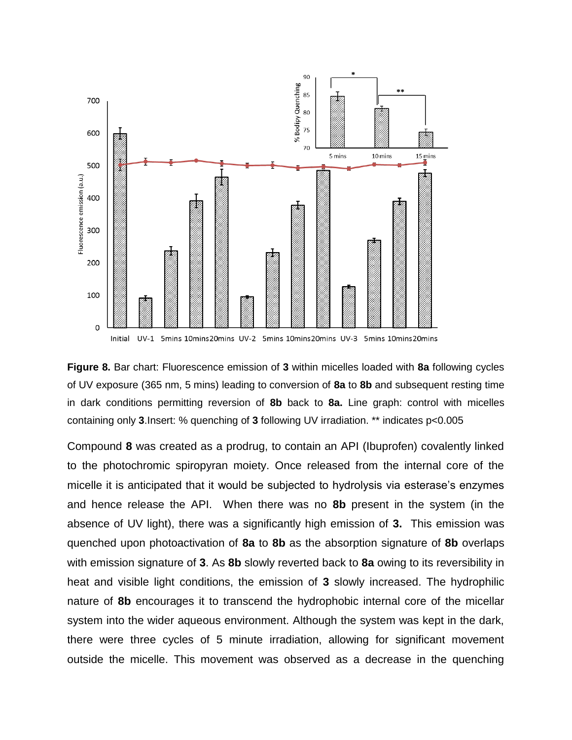

**Figure 8.** Bar chart: Fluorescence emission of **3** within micelles loaded with **8a** following cycles of UV exposure (365 nm, 5 mins) leading to conversion of **8a** to **8b** and subsequent resting time in dark conditions permitting reversion of **8b** back to **8a.** Line graph: control with micelles containing only **3**.Insert: % quenching of **3** following UV irradiation. \*\* indicates p<0.005

Compound **8** was created as a prodrug, to contain an API (Ibuprofen) covalently linked to the photochromic spiropyran moiety. Once released from the internal core of the micelle it is anticipated that it would be subjected to hydrolysis via esterase's enzymes and hence release the API. When there was no **8b** present in the system (in the absence of UV light), there was a significantly high emission of **3.** This emission was quenched upon photoactivation of **8a** to **8b** as the absorption signature of **8b** overlaps with emission signature of **3**. As **8b** slowly reverted back to **8a** owing to its reversibility in heat and visible light conditions, the emission of **3** slowly increased. The hydrophilic nature of **8b** encourages it to transcend the hydrophobic internal core of the micellar system into the wider aqueous environment. Although the system was kept in the dark, there were three cycles of 5 minute irradiation, allowing for significant movement outside the micelle. This movement was observed as a decrease in the quenching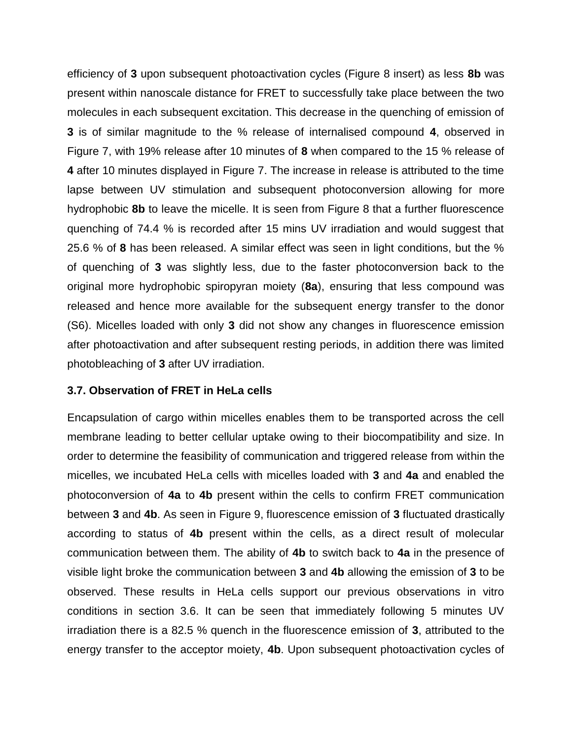efficiency of **3** upon subsequent photoactivation cycles (Figure 8 insert) as less **8b** was present within nanoscale distance for FRET to successfully take place between the two molecules in each subsequent excitation. This decrease in the quenching of emission of **3** is of similar magnitude to the % release of internalised compound **4**, observed in Figure 7, with 19% release after 10 minutes of **8** when compared to the 15 % release of **4** after 10 minutes displayed in Figure 7. The increase in release is attributed to the time lapse between UV stimulation and subsequent photoconversion allowing for more hydrophobic **8b** to leave the micelle. It is seen from Figure 8 that a further fluorescence quenching of 74.4 % is recorded after 15 mins UV irradiation and would suggest that 25.6 % of **8** has been released. A similar effect was seen in light conditions, but the % of quenching of **3** was slightly less, due to the faster photoconversion back to the original more hydrophobic spiropyran moiety (**8a**), ensuring that less compound was released and hence more available for the subsequent energy transfer to the donor (S6). Micelles loaded with only **3** did not show any changes in fluorescence emission after photoactivation and after subsequent resting periods, in addition there was limited photobleaching of **3** after UV irradiation.

# **3.7. Observation of FRET in HeLa cells**

Encapsulation of cargo within micelles enables them to be transported across the cell membrane leading to better cellular uptake owing to their biocompatibility and size. In order to determine the feasibility of communication and triggered release from within the micelles, we incubated HeLa cells with micelles loaded with **3** and **4a** and enabled the photoconversion of **4a** to **4b** present within the cells to confirm FRET communication between **3** and **4b**. As seen in Figure 9, fluorescence emission of **3** fluctuated drastically according to status of **4b** present within the cells, as a direct result of molecular communication between them. The ability of **4b** to switch back to **4a** in the presence of visible light broke the communication between **3** and **4b** allowing the emission of **3** to be observed. These results in HeLa cells support our previous observations in vitro conditions in section 3.6. It can be seen that immediately following 5 minutes UV irradiation there is a 82.5 % quench in the fluorescence emission of **3**, attributed to the energy transfer to the acceptor moiety, **4b**. Upon subsequent photoactivation cycles of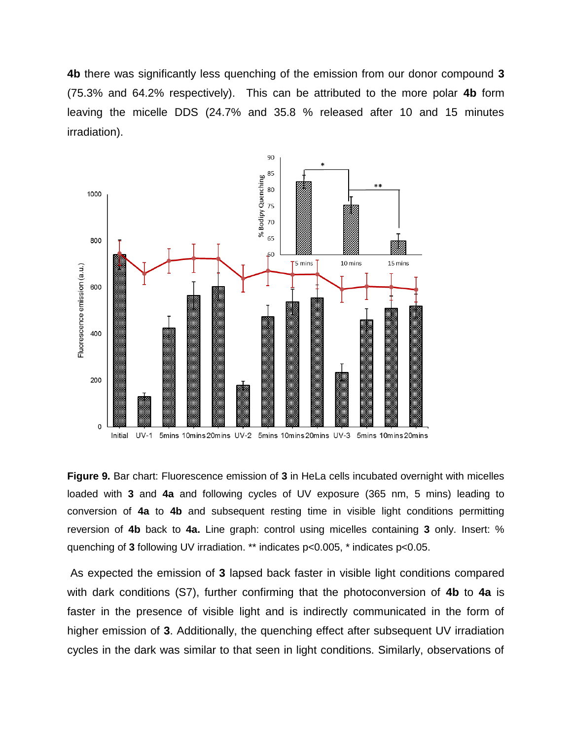**4b** there was significantly less quenching of the emission from our donor compound **3** (75.3% and 64.2% respectively). This can be attributed to the more polar **4b** form leaving the micelle DDS (24.7% and 35.8 % released after 10 and 15 minutes irradiation).



**Figure 9.** Bar chart: Fluorescence emission of **3** in HeLa cells incubated overnight with micelles loaded with **3** and **4a** and following cycles of UV exposure (365 nm, 5 mins) leading to conversion of **4a** to **4b** and subsequent resting time in visible light conditions permitting reversion of **4b** back to **4a.** Line graph: control using micelles containing **3** only. Insert: % quenching of **3** following UV irradiation. \*\* indicates p<0.005, \* indicates p<0.05.

As expected the emission of **3** lapsed back faster in visible light conditions compared with dark conditions (S7), further confirming that the photoconversion of **4b** to **4a** is faster in the presence of visible light and is indirectly communicated in the form of higher emission of **3**. Additionally, the quenching effect after subsequent UV irradiation cycles in the dark was similar to that seen in light conditions. Similarly, observations of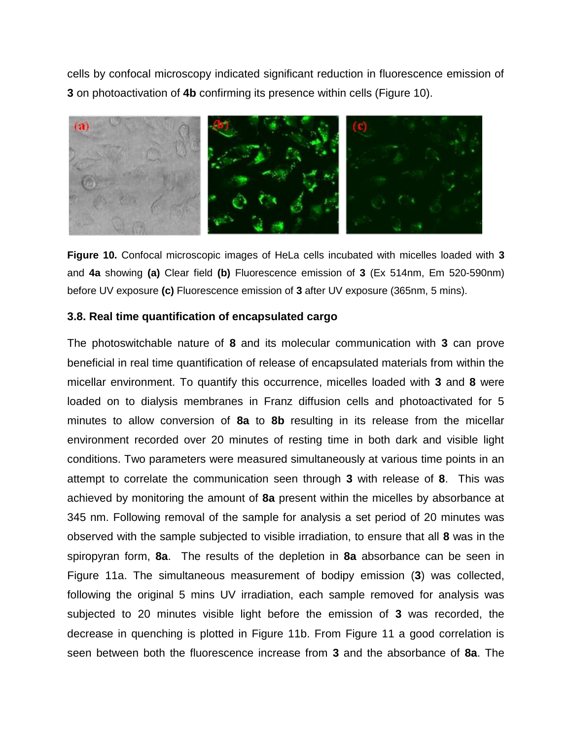cells by confocal microscopy indicated significant reduction in fluorescence emission of **3** on photoactivation of **4b** confirming its presence within cells (Figure 10).



**Figure 10.** Confocal microscopic images of HeLa cells incubated with micelles loaded with **3**  and **4a** showing **(a)** Clear field **(b)** Fluorescence emission of **3** (Ex 514nm, Em 520-590nm) before UV exposure **(c)** Fluorescence emission of **3** after UV exposure (365nm, 5 mins).

# **3.8. Real time quantification of encapsulated cargo**

The photoswitchable nature of **8** and its molecular communication with **3** can prove beneficial in real time quantification of release of encapsulated materials from within the micellar environment. To quantify this occurrence, micelles loaded with **3** and **8** were loaded on to dialysis membranes in Franz diffusion cells and photoactivated for 5 minutes to allow conversion of **8a** to **8b** resulting in its release from the micellar environment recorded over 20 minutes of resting time in both dark and visible light conditions. Two parameters were measured simultaneously at various time points in an attempt to correlate the communication seen through **3** with release of **8**. This was achieved by monitoring the amount of **8a** present within the micelles by absorbance at 345 nm. Following removal of the sample for analysis a set period of 20 minutes was observed with the sample subjected to visible irradiation, to ensure that all **8** was in the spiropyran form, **8a**. The results of the depletion in **8a** absorbance can be seen in Figure 11a. The simultaneous measurement of bodipy emission (**3**) was collected, following the original 5 mins UV irradiation, each sample removed for analysis was subjected to 20 minutes visible light before the emission of **3** was recorded, the decrease in quenching is plotted in Figure 11b. From Figure 11 a good correlation is seen between both the fluorescence increase from **3** and the absorbance of **8a**. The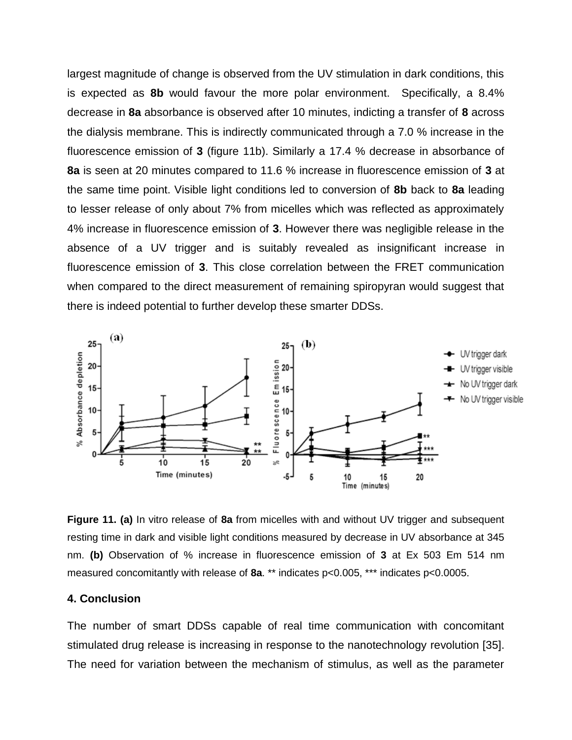largest magnitude of change is observed from the UV stimulation in dark conditions, this is expected as **8b** would favour the more polar environment. Specifically, a 8.4% decrease in **8a** absorbance is observed after 10 minutes, indicting a transfer of **8** across the dialysis membrane. This is indirectly communicated through a 7.0 % increase in the fluorescence emission of **3** (figure 11b). Similarly a 17.4 % decrease in absorbance of **8a** is seen at 20 minutes compared to 11.6 % increase in fluorescence emission of **3** at the same time point. Visible light conditions led to conversion of **8b** back to **8a** leading to lesser release of only about 7% from micelles which was reflected as approximately 4% increase in fluorescence emission of **3**. However there was negligible release in the absence of a UV trigger and is suitably revealed as insignificant increase in fluorescence emission of **3**. This close correlation between the FRET communication when compared to the direct measurement of remaining spiropyran would suggest that there is indeed potential to further develop these smarter DDSs.



**Figure 11. (a)** In vitro release of **8a** from micelles with and without UV trigger and subsequent resting time in dark and visible light conditions measured by decrease in UV absorbance at 345 nm. **(b)** Observation of % increase in fluorescence emission of **3** at Ex 503 Em 514 nm measured concomitantly with release of **8a**. \*\* indicates p<0.005, \*\*\* indicates p<0.0005.

#### **4. Conclusion**

The number of smart DDSs capable of real time communication with concomitant stimulated drug release is increasing in response to the nanotechnology revolution [35]. The need for variation between the mechanism of stimulus, as well as the parameter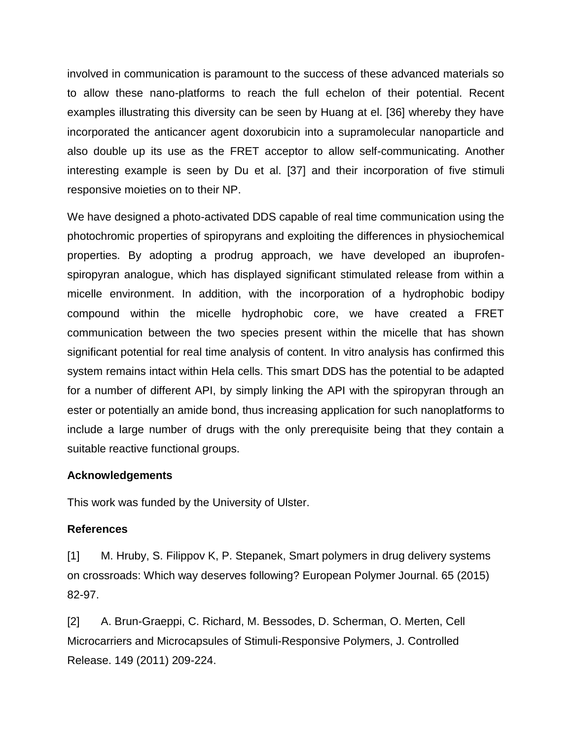involved in communication is paramount to the success of these advanced materials so to allow these nano-platforms to reach the full echelon of their potential. Recent examples illustrating this diversity can be seen by Huang at el. [36] whereby they have incorporated the anticancer agent doxorubicin into a supramolecular nanoparticle and also double up its use as the FRET acceptor to allow self-communicating. Another interesting example is seen by Du et al. [37] and their incorporation of five stimuli responsive moieties on to their NP.

We have designed a photo-activated DDS capable of real time communication using the photochromic properties of spiropyrans and exploiting the differences in physiochemical properties. By adopting a prodrug approach, we have developed an ibuprofenspiropyran analogue, which has displayed significant stimulated release from within a micelle environment. In addition, with the incorporation of a hydrophobic bodipy compound within the micelle hydrophobic core, we have created a FRET communication between the two species present within the micelle that has shown significant potential for real time analysis of content. In vitro analysis has confirmed this system remains intact within Hela cells. This smart DDS has the potential to be adapted for a number of different API, by simply linking the API with the spiropyran through an ester or potentially an amide bond, thus increasing application for such nanoplatforms to include a large number of drugs with the only prerequisite being that they contain a suitable reactive functional groups.

#### **Acknowledgements**

This work was funded by the University of Ulster.

# **References**

[1] M. Hruby, S. Filippov K, P. Stepanek, Smart polymers in drug delivery systems on crossroads: Which way deserves following? European Polymer Journal. 65 (2015) 82-97.

[2] A. Brun-Graeppi, C. Richard, M. Bessodes, D. Scherman, O. Merten, Cell Microcarriers and Microcapsules of Stimuli-Responsive Polymers, J. Controlled Release. 149 (2011) 209-224.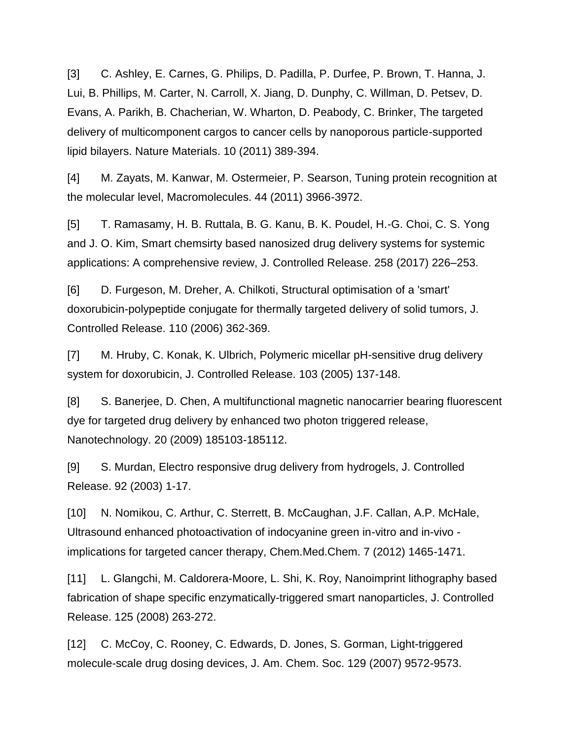[3] C. Ashley, E. Carnes, G. Philips, D. Padilla, P. Durfee, P. Brown, T. Hanna, J. Lui, B. Phillips, M. Carter, N. Carroll, X. Jiang, D. Dunphy, C. Willman, D. Petsev, D. Evans, A. Parikh, B. Chacherian, W. Wharton, D. Peabody, C. Brinker, The targeted delivery of multicomponent cargos to cancer cells by nanoporous particle-supported lipid bilayers. Nature Materials. 10 (2011) 389-394.

[4] M. Zayats, M. Kanwar, M. Ostermeier, P. Searson, Tuning protein recognition at the molecular level, Macromolecules. 44 (2011) 3966-3972.

[5] T. Ramasamy, H. B. Ruttala, B. G. Kanu, B. K. Poudel, H.-G. Choi, C. S. Yong and J. O. Kim, Smart chemsirty based nanosized drug delivery systems for systemic applications: A comprehensive review, J. Controlled Release. 258 (2017) 226–253.

[6] D. Furgeson, M. Dreher, A. Chilkoti, Structural optimisation of a 'smart' doxorubicin-polypeptide conjugate for thermally targeted delivery of solid tumors, J. Controlled Release. 110 (2006) 362-369.

[7] M. Hruby, C. Konak, K. Ulbrich, Polymeric micellar pH-sensitive drug delivery system for doxorubicin, J. Controlled Release. 103 (2005) 137-148.

[8] S. Baneriee, D. Chen, A multifunctional magnetic nanocarrier bearing fluorescent dye for targeted drug delivery by enhanced two photon triggered release, Nanotechnology. 20 (2009) 185103-185112.

[9] S. Murdan, Electro responsive drug delivery from hydrogels, J. Controlled Release. 92 (2003) 1-17.

[10] N. Nomikou, C. Arthur, C. Sterrett, B. McCaughan, J.F. Callan, A.P. McHale, Ultrasound enhanced photoactivation of indocyanine green in-vitro and in-vivo implications for targeted cancer therapy, Chem.Med.Chem. 7 (2012) 1465-1471.

[11] L. Glangchi, M. Caldorera-Moore, L. Shi, K. Roy, Nanoimprint lithography based fabrication of shape specific enzymatically-triggered smart nanoparticles, J. Controlled Release. 125 (2008) 263-272.

[12] C. McCoy, C. Rooney, C. Edwards, D. Jones, S. Gorman, Light-triggered molecule-scale drug dosing devices, J. Am. Chem. Soc. 129 (2007) 9572-9573.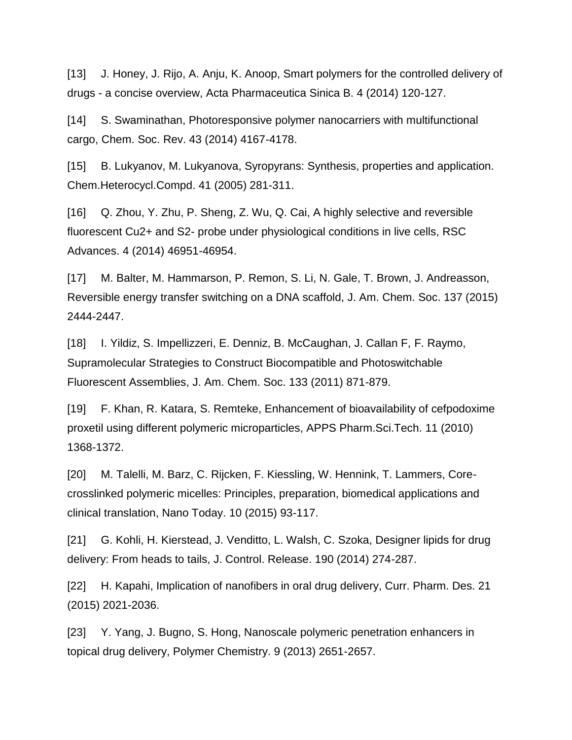[13] J. Honey, J. Rijo, A. Anju, K. Anoop, Smart polymers for the controlled delivery of drugs - a concise overview, Acta Pharmaceutica Sinica B. 4 (2014) 120-127.

[14] S. Swaminathan, Photoresponsive polymer nanocarriers with multifunctional cargo, Chem. Soc. Rev. 43 (2014) 4167-4178.

[15] B. Lukyanov, M. Lukyanova, Syropyrans: Synthesis, properties and application. Chem.Heterocycl.Compd. 41 (2005) 281-311.

[16] Q. Zhou, Y. Zhu, P. Sheng, Z. Wu, Q. Cai, A highly selective and reversible fluorescent Cu2+ and S2- probe under physiological conditions in live cells, RSC Advances. 4 (2014) 46951-46954.

[17] M. Balter, M. Hammarson, P. Remon, S. Li, N. Gale, T. Brown, J. Andreasson, Reversible energy transfer switching on a DNA scaffold, J. Am. Chem. Soc. 137 (2015) 2444-2447.

[18] I. Yildiz, S. Impellizzeri, E. Denniz, B. McCaughan, J. Callan F, F. Raymo, Supramolecular Strategies to Construct Biocompatible and Photoswitchable Fluorescent Assemblies, J. Am. Chem. Soc. 133 (2011) 871-879.

[19] F. Khan, R. Katara, S. Remteke, Enhancement of bioavailability of cefpodoxime proxetil using different polymeric microparticles, APPS Pharm.Sci.Tech. 11 (2010) 1368-1372.

[20] M. Talelli, M. Barz, C. Rijcken, F. Kiessling, W. Hennink, T. Lammers, Corecrosslinked polymeric micelles: Principles, preparation, biomedical applications and clinical translation, Nano Today. 10 (2015) 93-117.

[21] G. Kohli, H. Kierstead, J. Venditto, L. Walsh, C. Szoka, Designer lipids for drug delivery: From heads to tails, J. Control. Release. 190 (2014) 274-287.

[22] H. Kapahi, Implication of nanofibers in oral drug delivery, Curr. Pharm. Des. 21 (2015) 2021-2036.

[23] Y. Yang, J. Bugno, S. Hong, Nanoscale polymeric penetration enhancers in topical drug delivery, Polymer Chemistry. 9 (2013) 2651-2657.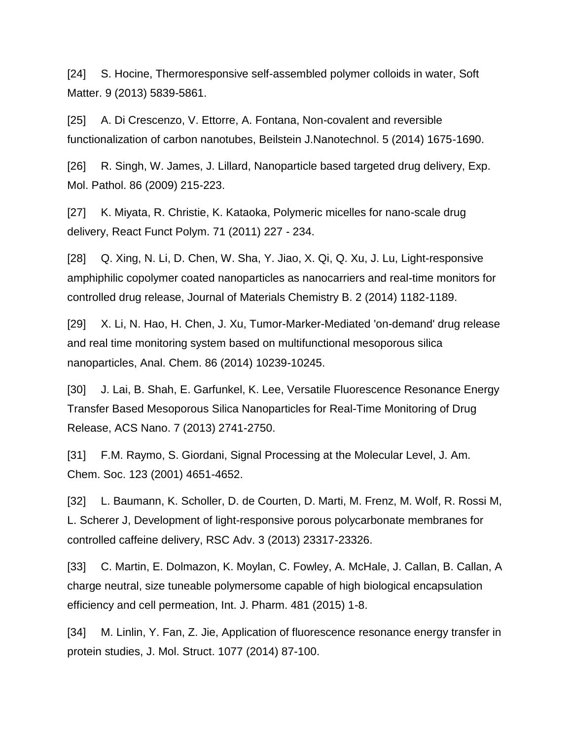[24] S. Hocine, Thermoresponsive self-assembled polymer colloids in water, Soft Matter. 9 (2013) 5839-5861.

[25] A. Di Crescenzo, V. Ettorre, A. Fontana, Non-covalent and reversible functionalization of carbon nanotubes, Beilstein J.Nanotechnol. 5 (2014) 1675-1690.

[26] R. Singh, W. James, J. Lillard, Nanoparticle based targeted drug delivery, Exp. Mol. Pathol. 86 (2009) 215-223.

[27] K. Miyata, R. Christie, K. Kataoka, Polymeric micelles for nano-scale drug delivery, React Funct Polym. 71 (2011) 227 - 234.

[28] Q. Xing, N. Li, D. Chen, W. Sha, Y. Jiao, X. Qi, Q. Xu, J. Lu, Light-responsive amphiphilic copolymer coated nanoparticles as nanocarriers and real-time monitors for controlled drug release, Journal of Materials Chemistry B. 2 (2014) 1182-1189.

[29] X. Li, N. Hao, H. Chen, J. Xu, Tumor-Marker-Mediated 'on-demand' drug release and real time monitoring system based on multifunctional mesoporous silica nanoparticles, Anal. Chem. 86 (2014) 10239-10245.

[30] J. Lai, B. Shah, E. Garfunkel, K. Lee, Versatile Fluorescence Resonance Energy Transfer Based Mesoporous Silica Nanoparticles for Real-Time Monitoring of Drug Release, ACS Nano. 7 (2013) 2741-2750.

[31] F.M. Raymo, S. Giordani, Signal Processing at the Molecular Level, J. Am. Chem. Soc. 123 (2001) 4651-4652.

[32] L. Baumann, K. Scholler, D. de Courten, D. Marti, M. Frenz, M. Wolf, R. Rossi M, L. Scherer J, Development of light-responsive porous polycarbonate membranes for controlled caffeine delivery, RSC Adv. 3 (2013) 23317-23326.

[33] C. Martin, E. Dolmazon, K. Moylan, C. Fowley, A. McHale, J. Callan, B. Callan, A charge neutral, size tuneable polymersome capable of high biological encapsulation efficiency and cell permeation, Int. J. Pharm. 481 (2015) 1-8.

[34] M. Linlin, Y. Fan, Z. Jie, Application of fluorescence resonance energy transfer in protein studies, J. Mol. Struct. 1077 (2014) 87-100.